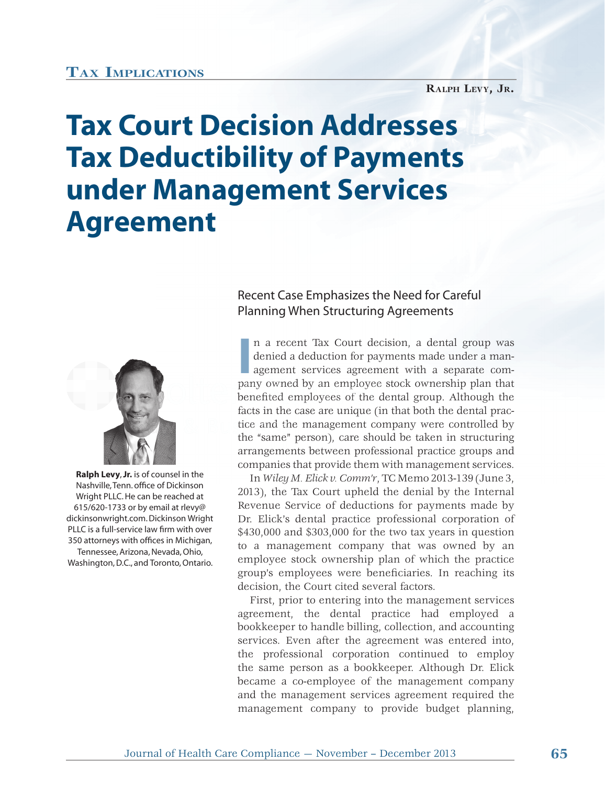## **TAX IMPLICATIONS**

## **RALPH LEVY, JR.**

## **Tax Court Decision Addresses Tax Deductibility of Payments under Management Services Agreement**



 **Ralph Levy**, **Jr.** is of counsel in the Nashville, Tenn. office of Dickinson Wright PLLC. He can be reached at 615/620-1733 or by email at rlevy@ dickinsonwright.com. Dickinson Wright PLLC is a full-service law firm with over 350 attorneys with offices in Michigan, Tennessee, Arizona, Nevada, Ohio, Washington, D.C., and Toronto, Ontario.

Recent Case Emphasizes the Need for Careful Planning When Structuring Agreements

In a recent Tax Court decision, a dental group was denied a deduction for payments made under a management services agreement with a separate company owned by an employee stock ownership plan that n a recent Tax Court decision, a dental group was denied a deduction for payments made under a management services agreement with a separate com-t benefited employees of the dental group. Although the facts in the case are unique (in that both the dental practice and the management company were controlled by tic e and th the "same" person), care should be taken in structuring h arrangements between professional practice groups and companies that provide them with management services.

In *Wiley M. Elick v. Comm'r*, TC Memo 2013-139 (June 3, 2013), the Tax Court upheld the denial by the Internal Revenue Service of deductions for payments made by Dr. Elick's dental practice professional corporation of \$430,000 and \$303,000 for the two tax years in question to a management company that was owned by an employee stock ownership plan of which the practice group's employees were beneficiaries. In reaching its decision, the Court cited several factors.

First, prior to entering into the management services agreement, the dental practice had employed a bookkeeper to handle billing, collection, and accounting services. Even after the agreement was entered into, the professional corporation continued to employ the same person as a bookkeeper. Although Dr. Elick became a co-employee of the management company and the management services agreement required the management company to provide budget planning,